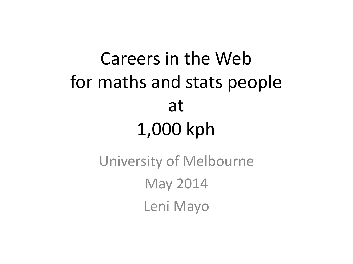# Careers in the Web for maths and stats people at 1,000 kph

#### University of Melbourne May 2014 Leni Mayo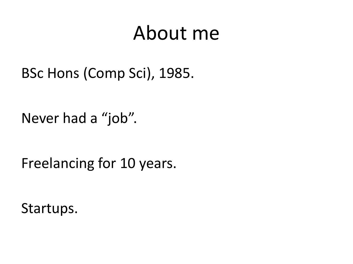#### About me

BSc Hons (Comp Sci), 1985.

Never had a "job".

Freelancing for 10 years.

Startups.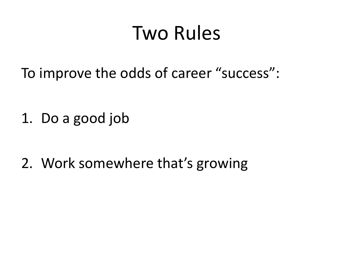## Two Rules

To improve the odds of career "success":

1. Do a good job

2. Work somewhere that's growing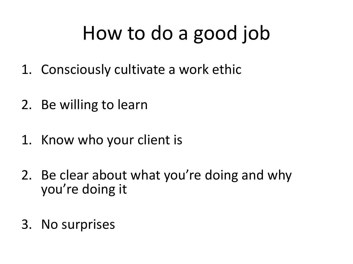# How to do a good job

- 1. Consciously cultivate a work ethic
- 2. Be willing to learn
- 1. Know who your client is
- 2. Be clear about what you're doing and why you're doing it
- 3. No surprises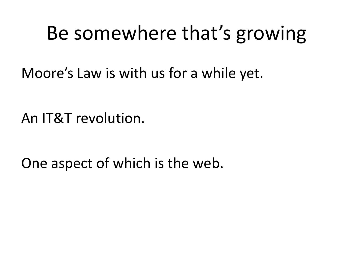## Be somewhere that's growing

Moore's Law is with us for a while yet.

An IT&T revolution.

One aspect of which is the web.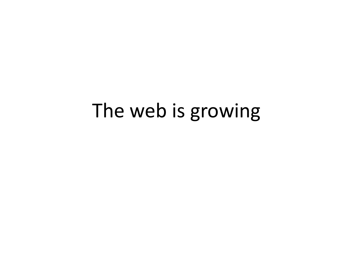### The web is growing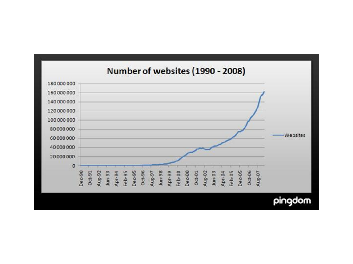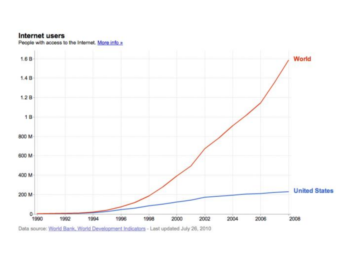#### **Internet users**

People with access to the Internet. More info »

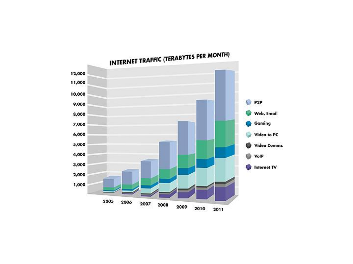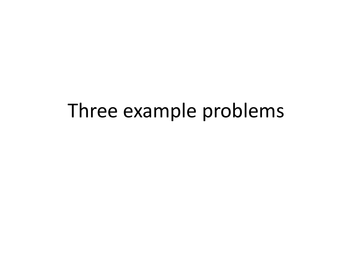#### Three example problems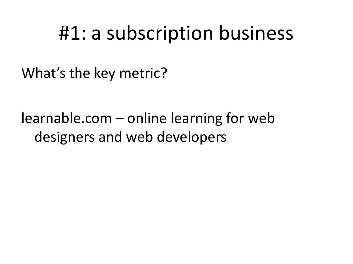#### #1: a subscription business

What's the key metric?

learnable.com – online learning for web designers and web developers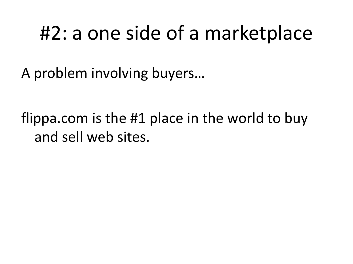## #2: a one side of a marketplace

A problem involving buyers…

flippa.com is the #1 place in the world to buy and sell web sites.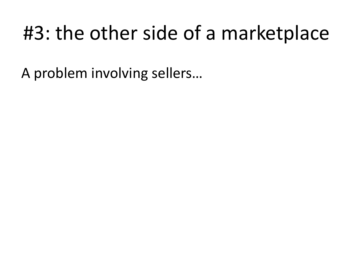# #3: the other side of a marketplace

A problem involving sellers…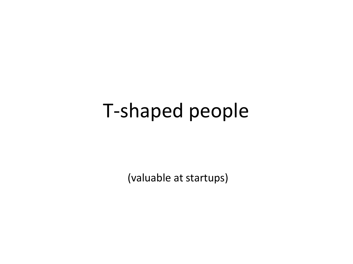## T-shaped people

(valuable at startups)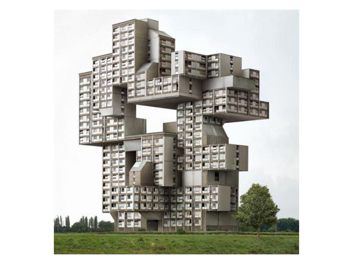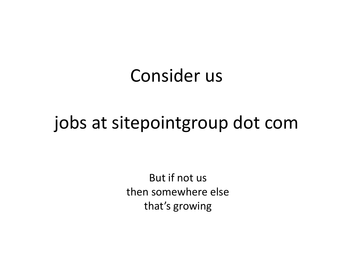#### Consider us

#### jobs at sitepointgroup dot com

But if not us then somewhere else that's growing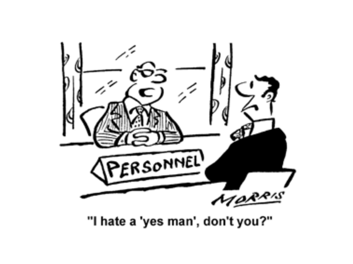

"I hate a 'yes man', don't you?"